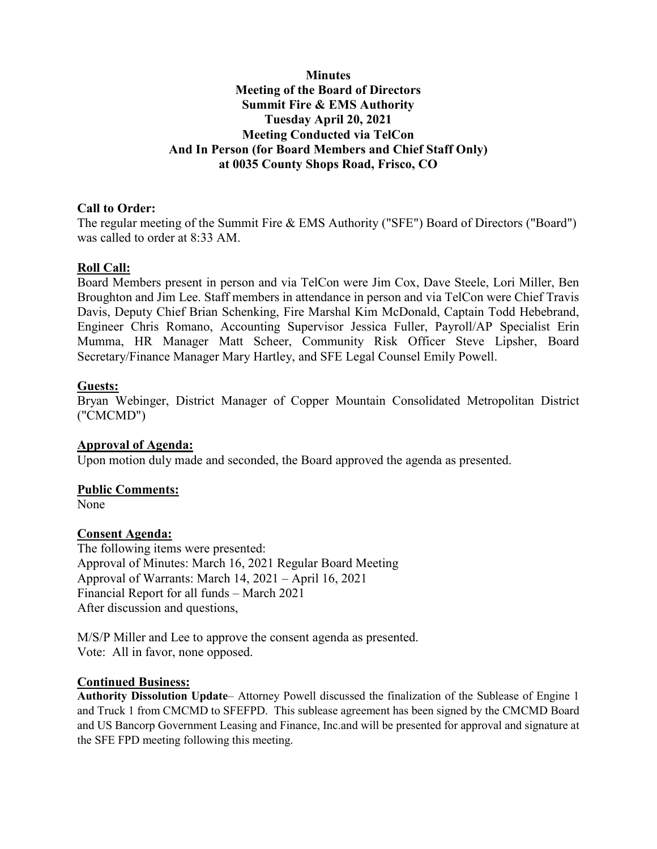## **Minutes Meeting of the Board of Directors Summit Fire & EMS Authority Tuesday April 20, 2021 Meeting Conducted via TelCon And In Person (for Board Members and Chief Staff Only) at 0035 County Shops Road, Frisco, CO**

## **Call to Order:**

The regular meeting of the Summit Fire & EMS Authority ("SFE") Board of Directors ("Board") was called to order at 8:33 AM.

## **Roll Call:**

Board Members present in person and via TelCon were Jim Cox, Dave Steele, Lori Miller, Ben Broughton and Jim Lee. Staff members in attendance in person and via TelCon were Chief Travis Davis, Deputy Chief Brian Schenking, Fire Marshal Kim McDonald, Captain Todd Hebebrand, Engineer Chris Romano, Accounting Supervisor Jessica Fuller, Payroll/AP Specialist Erin Mumma, HR Manager Matt Scheer, Community Risk Officer Steve Lipsher, Board Secretary/Finance Manager Mary Hartley, and SFE Legal Counsel Emily Powell.

## **Guests:**

Bryan Webinger, District Manager of Copper Mountain Consolidated Metropolitan District ("CMCMD")

#### **Approval of Agenda:**

Upon motion duly made and seconded, the Board approved the agenda as presented.

#### **Public Comments:**

None

## **Consent Agenda:**

The following items were presented: Approval of Minutes: March 16, 2021 Regular Board Meeting Approval of Warrants: March 14, 2021 – April 16, 2021 Financial Report for all funds – March 2021 After discussion and questions,

M/S/P Miller and Lee to approve the consent agenda as presented. Vote: All in favor, none opposed.

#### **Continued Business:**

**Authority Dissolution Update**– Attorney Powell discussed the finalization of the Sublease of Engine 1 and Truck 1 from CMCMD to SFEFPD. This sublease agreement has been signed by the CMCMD Board and US Bancorp Government Leasing and Finance, Inc.and will be presented for approval and signature at the SFE FPD meeting following this meeting.